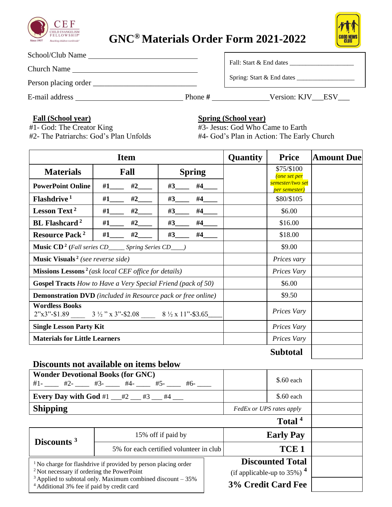

## **GNC® Materials Order Form 2021-2022**



| School/Club Name     |         |                           |  |  |
|----------------------|---------|---------------------------|--|--|
| <b>Church Name</b>   |         | Fall: Start & End dates   |  |  |
| Person placing order |         | Spring: Start & End dates |  |  |
| E-mail address       | Phone # | Version: KJV ESV          |  |  |

## **Fall (School year)**

#1- God: The Creator King

**Spring (School year)**

#3- Jesus: God Who Came to Earth

#2- The Patriarchs: God's Plan Unfolds

#4- God's Plan in Action: The Early Church

| <b>Item</b>                                                             |                                                                                                             | <b>Quantity</b> | <b>Price</b> | <b>Amount Due</b>                              |  |
|-------------------------------------------------------------------------|-------------------------------------------------------------------------------------------------------------|-----------------|--------------|------------------------------------------------|--|
| <b>Materials</b>                                                        | Fall                                                                                                        | <b>Spring</b>   |              | \$75/\$100<br>one set per                      |  |
| <b>PowerPoint Online</b>                                                | #1____ #2___                                                                                                | #3<br>#4        |              | semester/two set<br><mark>per semester)</mark> |  |
| Flashdrive <sup>1</sup>                                                 | #2<br>$\#1$                                                                                                 | #4<br>#3        |              | \$80/\$105                                     |  |
| Lesson Text <sup>2</sup>                                                | #2<br>#1                                                                                                    | #4<br>#3        |              | \$6.00                                         |  |
| <b>BL</b> Flashcard <sup>2</sup>                                        | #2<br>#1                                                                                                    | #3<br>#4        |              | \$16.00                                        |  |
| <b>Resource Pack<sup>2</sup></b>                                        | #2<br>$\#1$                                                                                                 | #3<br>#4        |              | \$18.00                                        |  |
|                                                                         | <b>Music CD<sup>2</sup></b> (Fall series CD______ Spring Series CD___)                                      |                 |              | \$9.00                                         |  |
| <b>Music Visuals</b> <sup>2</sup> (see reverse side)                    |                                                                                                             |                 | Prices vary  |                                                |  |
| <b>Missions Lessons</b> <sup>2</sup> (ask local CEF office for details) |                                                                                                             |                 | Prices Vary  |                                                |  |
| <b>Gospel Tracts</b> How to Have a Very Special Friend (pack of 50)     |                                                                                                             |                 | \$6.00       |                                                |  |
| <b>Demonstration DVD</b> (included in Resource pack or free online)     |                                                                                                             |                 | \$9.50       |                                                |  |
| <b>Wordless Books</b>                                                   | $2^{\prime\prime} \times 3^{\prime\prime}$ -\$1.89 $3\frac{1}{2}$ " x 3"-\$2.08 $8\frac{1}{2}$ x 11"-\$3.65 |                 |              | Prices Vary                                    |  |
| <b>Single Lesson Party Kit</b>                                          |                                                                                                             |                 |              | Prices Vary                                    |  |
| <b>Materials for Little Learners</b>                                    |                                                                                                             |                 |              | Prices Vary                                    |  |
|                                                                         |                                                                                                             |                 |              | <b>Subtotal</b>                                |  |

## **Discounts not available on items below**

| <b>Wonder Devotional Books (for GNC)</b><br>$#1$ - $#2$ - $#3$ - $#3$ - $#4$ - $#5$ - $#6$ - $#6$ -                                                                                                                                                            |  |                          |                                                                                       | $$.60$ each        |  |
|----------------------------------------------------------------------------------------------------------------------------------------------------------------------------------------------------------------------------------------------------------------|--|--------------------------|---------------------------------------------------------------------------------------|--------------------|--|
| <b>Every Day with God #1</b> $#2$ $#3$ $#4$ $*$                                                                                                                                                                                                                |  |                          | $$.60$ each                                                                           |                    |  |
| <b>Shipping</b>                                                                                                                                                                                                                                                |  | FedEx or UPS rates apply |                                                                                       |                    |  |
|                                                                                                                                                                                                                                                                |  |                          |                                                                                       | Total <sup>4</sup> |  |
| 15% off if paid by<br>Discounts <sup>3</sup><br>5% for each certified volunteer in club                                                                                                                                                                        |  |                          | <b>Early Pay</b>                                                                      |                    |  |
|                                                                                                                                                                                                                                                                |  |                          | TCE <sub>1</sub>                                                                      |                    |  |
| <sup>1</sup> No charge for flashdrive if provided by person placing order<br><sup>2</sup> Not necessary if ordering the PowerPoint<br>$3$ Applied to subtotal only. Maximum combined discount $-35\%$<br><sup>4</sup> Additional 3% fee if paid by credit card |  |                          | <b>Discounted Total</b><br>(if applicable-up to 35%) $4$<br><b>3% Credit Card Fee</b> |                    |  |